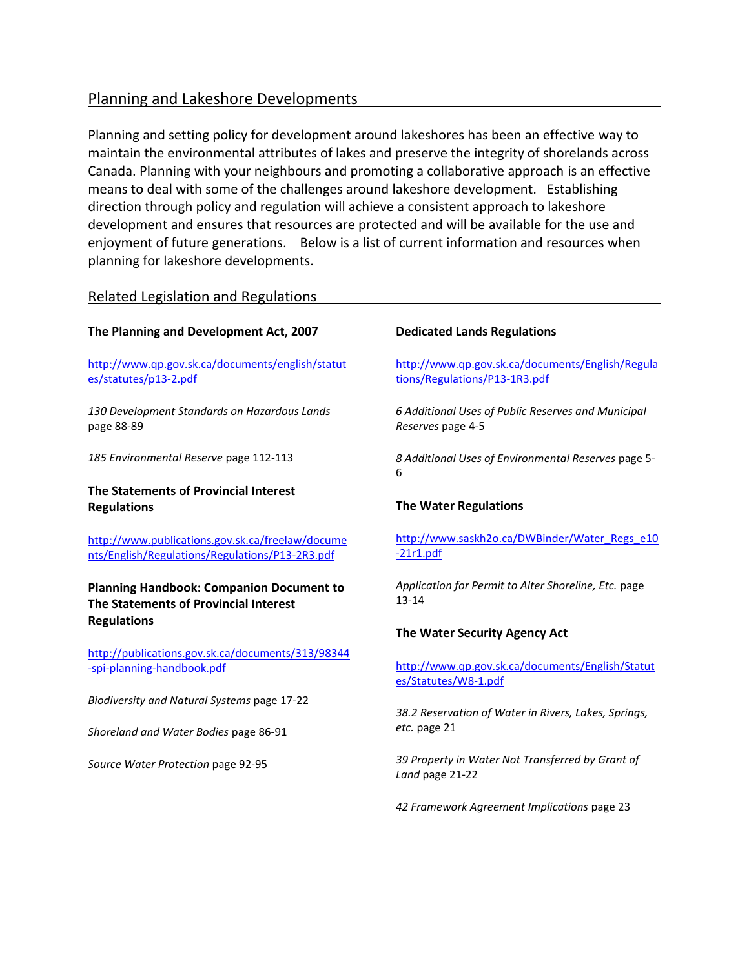# Planning and Lakeshore Developments

Planning and setting policy for development around lakeshores has been an effective way to maintain the environmental attributes of lakes and preserve the integrity of shorelands across Canada. Planning with your neighbours and promoting a collaborative approach is an effective means to deal with some of the challenges around lakeshore development. Establishing direction through policy and regulation will achieve a consistent approach to lakeshore development and ensures that resources are protected and will be available for the use and enjoyment of future generations. Below is a list of current information and resources when planning for lakeshore developments.

## Related Legislation and Regulations

## **The Planning and Development Act, 2007**

[http://www.qp.gov.sk.ca/documents/english/statut](https://na01.safelinks.protection.outlook.com/?url=http%3A%2F%2Fwww.qp.gov.sk.ca%2Fdocuments%2Fenglish%2Fstatutes%2Fstatutes%2Fp13-2.pdf&data=02%7C01%7CDSchmalz%40sarm.ca%7C04ee9793db7f406e681d08d6b2f42b7b%7C86754ba62a364f34b7fd4ff3fea3fb2c%7C0%7C0%7C636893159096149917&sdata=GIoiJhwZI%2BxD4GDYqiwYisO3y%2FseRzn1sm%2BbQmOdylA%3D&reserved=0) [es/statutes/p13-2.pdf](https://na01.safelinks.protection.outlook.com/?url=http%3A%2F%2Fwww.qp.gov.sk.ca%2Fdocuments%2Fenglish%2Fstatutes%2Fstatutes%2Fp13-2.pdf&data=02%7C01%7CDSchmalz%40sarm.ca%7C04ee9793db7f406e681d08d6b2f42b7b%7C86754ba62a364f34b7fd4ff3fea3fb2c%7C0%7C0%7C636893159096149917&sdata=GIoiJhwZI%2BxD4GDYqiwYisO3y%2FseRzn1sm%2BbQmOdylA%3D&reserved=0)

*130 Development Standards on Hazardous Lands*  page 88-89

*185 Environmental Reserve* page 112-113

## **The Statements of Provincial Interest Regulations**

[http://www.publications.gov.sk.ca/freelaw/docume](http://www.publications.gov.sk.ca/freelaw/documents/English/Regulations/Regulations/P13-2R3.pdf) [nts/English/Regulations/Regulations/P13-2R3.pdf](http://www.publications.gov.sk.ca/freelaw/documents/English/Regulations/Regulations/P13-2R3.pdf)

## **Planning Handbook: Companion Document to The Statements of Provincial Interest Regulations**

[http://publications.gov.sk.ca/documents/313/98344](https://na01.safelinks.protection.outlook.com/?url=http%3A%2F%2Fpublications.gov.sk.ca%2Fdocuments%2F313%2F98344-spi-planning-handbook.pdf&data=02%7C01%7CDSchmalz%40sarm.ca%7C04ee9793db7f406e681d08d6b2f42b7b%7C86754ba62a364f34b7fd4ff3fea3fb2c%7C0%7C0%7C636893159096139903&sdata=4pOva%2FdD6ofX0Nnp3gT7kUgVraZbtB0HBrQN%2FoJ5ELY%3D&reserved=0) [-spi-planning-handbook.pdf](https://na01.safelinks.protection.outlook.com/?url=http%3A%2F%2Fpublications.gov.sk.ca%2Fdocuments%2F313%2F98344-spi-planning-handbook.pdf&data=02%7C01%7CDSchmalz%40sarm.ca%7C04ee9793db7f406e681d08d6b2f42b7b%7C86754ba62a364f34b7fd4ff3fea3fb2c%7C0%7C0%7C636893159096139903&sdata=4pOva%2FdD6ofX0Nnp3gT7kUgVraZbtB0HBrQN%2FoJ5ELY%3D&reserved=0)

*Biodiversity and Natural Systems* page 17-22

*Shoreland and Water Bodies* page 86-91

*Source Water Protection* page 92-95

### **Dedicated Lands Regulations**

[http://www.qp.gov.sk.ca/documents/English/Regula](https://na01.safelinks.protection.outlook.com/?url=http%3A%2F%2Fwww.qp.gov.sk.ca%2Fdocuments%2FEnglish%2FRegulations%2FRegulations%2FP13-1R3.pdf&data=02%7C01%7CDSchmalz%40sarm.ca%7C04ee9793db7f406e681d08d6b2f42b7b%7C86754ba62a364f34b7fd4ff3fea3fb2c%7C0%7C0%7C636893159096189941&sdata=rAeNE%2B97SUIDcUTEq%2B0Wq03KiRmwi8eXvf2EQ8BwKT0%3D&reserved=0) [tions/Regulations/P13-1R3.pdf](https://na01.safelinks.protection.outlook.com/?url=http%3A%2F%2Fwww.qp.gov.sk.ca%2Fdocuments%2FEnglish%2FRegulations%2FRegulations%2FP13-1R3.pdf&data=02%7C01%7CDSchmalz%40sarm.ca%7C04ee9793db7f406e681d08d6b2f42b7b%7C86754ba62a364f34b7fd4ff3fea3fb2c%7C0%7C0%7C636893159096189941&sdata=rAeNE%2B97SUIDcUTEq%2B0Wq03KiRmwi8eXvf2EQ8BwKT0%3D&reserved=0)

*6 Additional Uses of Public Reserves and Municipal Reserves* page 4-5

*8 Additional Uses of Environmental Reserves* page 5- 6

#### **The Water Regulations**

[http://www.saskh2o.ca/DWBinder/Water\\_Regs\\_e10](https://na01.safelinks.protection.outlook.com/?url=http%3A%2F%2Fwww.saskh2o.ca%2FDWBinder%2FWater_Regs_e10-21r1.pdf&data=02%7C01%7CDSchmalz%40sarm.ca%7C04ee9793db7f406e681d08d6b2f42b7b%7C86754ba62a364f34b7fd4ff3fea3fb2c%7C0%7C0%7C636893159096179932&sdata=1Zva3mgv2Y%2BJJuRWeqpljtDRrQqmmUpx0Yzdn6vHZYE%3D&reserved=0) [-21r1.pdf](https://na01.safelinks.protection.outlook.com/?url=http%3A%2F%2Fwww.saskh2o.ca%2FDWBinder%2FWater_Regs_e10-21r1.pdf&data=02%7C01%7CDSchmalz%40sarm.ca%7C04ee9793db7f406e681d08d6b2f42b7b%7C86754ba62a364f34b7fd4ff3fea3fb2c%7C0%7C0%7C636893159096179932&sdata=1Zva3mgv2Y%2BJJuRWeqpljtDRrQqmmUpx0Yzdn6vHZYE%3D&reserved=0)

*Application for Permit to Alter Shoreline, Etc.* page 13-14

#### **The Water Security Agency Act**

[http://www.qp.gov.sk.ca/documents/English/Statut](https://na01.safelinks.protection.outlook.com/?url=http%3A%2F%2Fwww.qp.gov.sk.ca%2Fdocuments%2FEnglish%2FStatutes%2FStatutes%2FW8-1.pdf&data=02%7C01%7CDSchmalz%40sarm.ca%7C04ee9793db7f406e681d08d6b2f42b7b%7C86754ba62a364f34b7fd4ff3fea3fb2c%7C0%7C0%7C636893159096219960&sdata=lG1W7lsL6oRpYEM5%2FYZOQsFQOVZ%2FJucrxn2gNwblgqo%3D&reserved=0) [es/Statutes/W8-1.pdf](https://na01.safelinks.protection.outlook.com/?url=http%3A%2F%2Fwww.qp.gov.sk.ca%2Fdocuments%2FEnglish%2FStatutes%2FStatutes%2FW8-1.pdf&data=02%7C01%7CDSchmalz%40sarm.ca%7C04ee9793db7f406e681d08d6b2f42b7b%7C86754ba62a364f34b7fd4ff3fea3fb2c%7C0%7C0%7C636893159096219960&sdata=lG1W7lsL6oRpYEM5%2FYZOQsFQOVZ%2FJucrxn2gNwblgqo%3D&reserved=0)

*38.2 Reservation of Water in Rivers, Lakes, Springs, etc.* page 21

*39 Property in Water Not Transferred by Grant of Land* page 21-22

*42 Framework Agreement Implications* page 23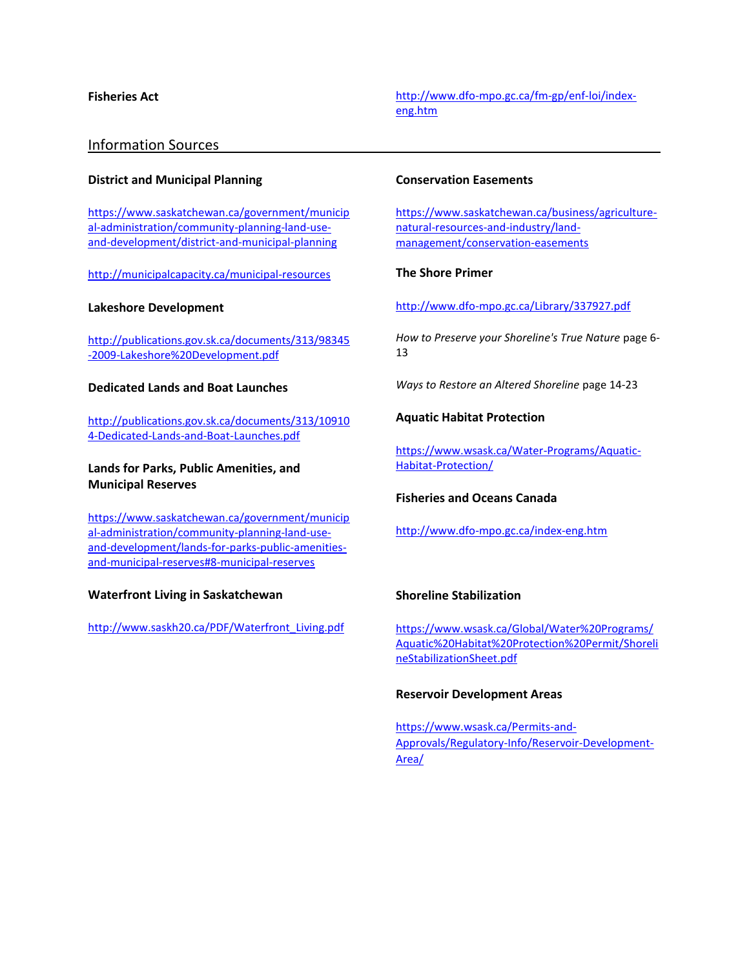**Fisheries Act** [http://www.dfo-mpo.gc.ca/fm-gp/enf-loi/index](http://www.dfo-mpo.gc.ca/fm-gp/enf-loi/index-eng.htm)[eng.htm](http://www.dfo-mpo.gc.ca/fm-gp/enf-loi/index-eng.htm)

## Information Sources

#### **District and Municipal Planning**

[https://www.saskatchewan.ca/government/municip](https://www.saskatchewan.ca/government/municipal-administration/community-planning-land-use-and-development/district-and-municipal-planning) [al-administration/community-planning-land-use](https://www.saskatchewan.ca/government/municipal-administration/community-planning-land-use-and-development/district-and-municipal-planning)[and-development/district-and-municipal-planning](https://www.saskatchewan.ca/government/municipal-administration/community-planning-land-use-and-development/district-and-municipal-planning)

<http://municipalcapacity.ca/municipal-resources>

#### **Lakeshore Development**

[http://publications.gov.sk.ca/documents/313/98345](https://na01.safelinks.protection.outlook.com/?url=http%3A%2F%2Fpublications.gov.sk.ca%2Fdocuments%2F313%2F98345-2009-Lakeshore%2520Development.pdf&data=02%7C01%7CDSchmalz%40sarm.ca%7C04ee9793db7f406e681d08d6b2f42b7b%7C86754ba62a364f34b7fd4ff3fea3fb2c%7C0%7C0%7C636893159096169922&sdata=JaPMXoc%2BpyXfocNAMoCGjz%2Fkj09g2FtiIDw8rK4RTjU%3D&reserved=0) [-2009-Lakeshore%20Development.pdf](https://na01.safelinks.protection.outlook.com/?url=http%3A%2F%2Fpublications.gov.sk.ca%2Fdocuments%2F313%2F98345-2009-Lakeshore%2520Development.pdf&data=02%7C01%7CDSchmalz%40sarm.ca%7C04ee9793db7f406e681d08d6b2f42b7b%7C86754ba62a364f34b7fd4ff3fea3fb2c%7C0%7C0%7C636893159096169922&sdata=JaPMXoc%2BpyXfocNAMoCGjz%2Fkj09g2FtiIDw8rK4RTjU%3D&reserved=0)

#### **Dedicated Lands and Boat Launches**

[http://publications.gov.sk.ca/documents/313/10910](http://publications.gov.sk.ca/documents/313/109104-Dedicated-Lands-and-Boat-Launches.pdf) [4-Dedicated-Lands-and-Boat-Launches.pdf](http://publications.gov.sk.ca/documents/313/109104-Dedicated-Lands-and-Boat-Launches.pdf)

**Lands for Parks, Public Amenities, and Municipal Reserves**

[https://www.saskatchewan.ca/government/municip](https://na01.safelinks.protection.outlook.com/?url=https%3A%2F%2Fwww.saskatchewan.ca%2Fgovernment%2Fmunicipal-administration%2Fcommunity-planning-land-use-and-development%2Flands-for-parks-public-amenities-and-municipal-reserves%238-municipal-reserves&data=02%7C01%7CDSchmalz%40sarm.ca%7C04ee9793db7f406e681d08d6b2f42b7b%7C86754ba62a364f34b7fd4ff3fea3fb2c%7C0%7C0%7C636893159096159918&sdata=%2Fc%2FxklVFLdfRYcQ3JtbFJm93zSV97PYyrjid3c9xWKI%3D&reserved=0) [al-administration/community-planning-land-use](https://na01.safelinks.protection.outlook.com/?url=https%3A%2F%2Fwww.saskatchewan.ca%2Fgovernment%2Fmunicipal-administration%2Fcommunity-planning-land-use-and-development%2Flands-for-parks-public-amenities-and-municipal-reserves%238-municipal-reserves&data=02%7C01%7CDSchmalz%40sarm.ca%7C04ee9793db7f406e681d08d6b2f42b7b%7C86754ba62a364f34b7fd4ff3fea3fb2c%7C0%7C0%7C636893159096159918&sdata=%2Fc%2FxklVFLdfRYcQ3JtbFJm93zSV97PYyrjid3c9xWKI%3D&reserved=0)[and-development/lands-for-parks-public-amenities](https://na01.safelinks.protection.outlook.com/?url=https%3A%2F%2Fwww.saskatchewan.ca%2Fgovernment%2Fmunicipal-administration%2Fcommunity-planning-land-use-and-development%2Flands-for-parks-public-amenities-and-municipal-reserves%238-municipal-reserves&data=02%7C01%7CDSchmalz%40sarm.ca%7C04ee9793db7f406e681d08d6b2f42b7b%7C86754ba62a364f34b7fd4ff3fea3fb2c%7C0%7C0%7C636893159096159918&sdata=%2Fc%2FxklVFLdfRYcQ3JtbFJm93zSV97PYyrjid3c9xWKI%3D&reserved=0)[and-municipal-reserves#8-municipal-reserves](https://na01.safelinks.protection.outlook.com/?url=https%3A%2F%2Fwww.saskatchewan.ca%2Fgovernment%2Fmunicipal-administration%2Fcommunity-planning-land-use-and-development%2Flands-for-parks-public-amenities-and-municipal-reserves%238-municipal-reserves&data=02%7C01%7CDSchmalz%40sarm.ca%7C04ee9793db7f406e681d08d6b2f42b7b%7C86754ba62a364f34b7fd4ff3fea3fb2c%7C0%7C0%7C636893159096159918&sdata=%2Fc%2FxklVFLdfRYcQ3JtbFJm93zSV97PYyrjid3c9xWKI%3D&reserved=0)

#### **Waterfront Living in Saskatchewan**

[http://www.saskh20.ca/PDF/Waterfront\\_Living.pdf](https://na01.safelinks.protection.outlook.com/?url=http%3A%2F%2Fwww.saskh20.ca%2FPDF%2FWaterfront_Living.pdf&data=02%7C01%7CDSchmalz%40sarm.ca%7C04ee9793db7f406e681d08d6b2f42b7b%7C86754ba62a364f34b7fd4ff3fea3fb2c%7C0%7C0%7C636893159096159918&sdata=BiukpwCQO4EDj%2BZXhibwBnr1ss2w%2BPFSo1mS9Xqdm4E%3D&reserved=0)

#### **Conservation Easements**

[https://www.saskatchewan.ca/business/agriculture](https://na01.safelinks.protection.outlook.com/?url=https%3A%2F%2Fwww.saskatchewan.ca%2Fbusiness%2Fagriculture-natural-resources-and-industry%2Fland-management%2Fconservation-easements&data=02%7C01%7CDSchmalz%40sarm.ca%7C04ee9793db7f406e681d08d6b2f42b7b%7C86754ba62a364f34b7fd4ff3fea3fb2c%7C0%7C0%7C636893159096169922&sdata=bDBac7E7i%2FORNUBemGmmdvnoVxqsKcRT2ibH5yzwxQE%3D&reserved=0)[natural-resources-and-industry/land](https://na01.safelinks.protection.outlook.com/?url=https%3A%2F%2Fwww.saskatchewan.ca%2Fbusiness%2Fagriculture-natural-resources-and-industry%2Fland-management%2Fconservation-easements&data=02%7C01%7CDSchmalz%40sarm.ca%7C04ee9793db7f406e681d08d6b2f42b7b%7C86754ba62a364f34b7fd4ff3fea3fb2c%7C0%7C0%7C636893159096169922&sdata=bDBac7E7i%2FORNUBemGmmdvnoVxqsKcRT2ibH5yzwxQE%3D&reserved=0)[management/conservation-easements](https://na01.safelinks.protection.outlook.com/?url=https%3A%2F%2Fwww.saskatchewan.ca%2Fbusiness%2Fagriculture-natural-resources-and-industry%2Fland-management%2Fconservation-easements&data=02%7C01%7CDSchmalz%40sarm.ca%7C04ee9793db7f406e681d08d6b2f42b7b%7C86754ba62a364f34b7fd4ff3fea3fb2c%7C0%7C0%7C636893159096169922&sdata=bDBac7E7i%2FORNUBemGmmdvnoVxqsKcRT2ibH5yzwxQE%3D&reserved=0)

#### **The Shore Primer**

[http://www.dfo-mpo.gc.ca/Library/337927.pdf](https://na01.safelinks.protection.outlook.com/?url=http%3A%2F%2Fwww.dfo-mpo.gc.ca%2FLibrary%2F337927.pdf&data=02%7C01%7CDSchmalz%40sarm.ca%7C04ee9793db7f406e681d08d6b2f42b7b%7C86754ba62a364f34b7fd4ff3fea3fb2c%7C0%7C0%7C636893159096199946&sdata=z8IUi9ZkxYhcafizabeFyaZd7NLqXtqmhWRTuNmU%2BqI%3D&reserved=0)

*How to Preserve your Shoreline's True Nature* page 6- 13

*Ways to Restore an Altered Shoreline* page 14-23

#### **Aquatic Habitat Protection**

[https://www.wsask.ca/Water-Programs/Aquatic-](https://na01.safelinks.protection.outlook.com/?url=https%3A%2F%2Fwww.wsask.ca%2FWater-Programs%2FAquatic-Habitat-Protection%2F&data=02%7C01%7CDSchmalz%40sarm.ca%7C04ee9793db7f406e681d08d6b2f42b7b%7C86754ba62a364f34b7fd4ff3fea3fb2c%7C0%7C0%7C636893159096199946&sdata=Q1tUoBZOtvcoEbElcAMLImx6zpyykmctLhcKfVO2QRY%3D&reserved=0)[Habitat-Protection/](https://na01.safelinks.protection.outlook.com/?url=https%3A%2F%2Fwww.wsask.ca%2FWater-Programs%2FAquatic-Habitat-Protection%2F&data=02%7C01%7CDSchmalz%40sarm.ca%7C04ee9793db7f406e681d08d6b2f42b7b%7C86754ba62a364f34b7fd4ff3fea3fb2c%7C0%7C0%7C636893159096199946&sdata=Q1tUoBZOtvcoEbElcAMLImx6zpyykmctLhcKfVO2QRY%3D&reserved=0)

## **Fisheries and Oceans Canada**

<http://www.dfo-mpo.gc.ca/index-eng.htm>

#### **Shoreline Stabilization**

[https://www.wsask.ca/Global/Water%20Programs/](https://na01.safelinks.protection.outlook.com/?url=https%3A%2F%2Fwww.wsask.ca%2FGlobal%2FWater%2520Programs%2FAquatic%2520Habitat%2520Protection%2520Permit%2FShorelineStabilizationSheet.pdf&data=02%7C01%7CDSchmalz%40sarm.ca%7C04ee9793db7f406e681d08d6b2f42b7b%7C86754ba62a364f34b7fd4ff3fea3fb2c%7C0%7C0%7C636893159096209955&sdata=El3Uvz2WGrvMah985tTKGMwpNRnMkpjCvLjdncwmTHE%3D&reserved=0) [Aquatic%20Habitat%20Protection%20Permit/Shoreli](https://na01.safelinks.protection.outlook.com/?url=https%3A%2F%2Fwww.wsask.ca%2FGlobal%2FWater%2520Programs%2FAquatic%2520Habitat%2520Protection%2520Permit%2FShorelineStabilizationSheet.pdf&data=02%7C01%7CDSchmalz%40sarm.ca%7C04ee9793db7f406e681d08d6b2f42b7b%7C86754ba62a364f34b7fd4ff3fea3fb2c%7C0%7C0%7C636893159096209955&sdata=El3Uvz2WGrvMah985tTKGMwpNRnMkpjCvLjdncwmTHE%3D&reserved=0) [neStabilizationSheet.pdf](https://na01.safelinks.protection.outlook.com/?url=https%3A%2F%2Fwww.wsask.ca%2FGlobal%2FWater%2520Programs%2FAquatic%2520Habitat%2520Protection%2520Permit%2FShorelineStabilizationSheet.pdf&data=02%7C01%7CDSchmalz%40sarm.ca%7C04ee9793db7f406e681d08d6b2f42b7b%7C86754ba62a364f34b7fd4ff3fea3fb2c%7C0%7C0%7C636893159096209955&sdata=El3Uvz2WGrvMah985tTKGMwpNRnMkpjCvLjdncwmTHE%3D&reserved=0)

#### **Reservoir Development Areas**

[https://www.wsask.ca/Permits-and-](https://na01.safelinks.protection.outlook.com/?url=https%3A%2F%2Fwww.wsask.ca%2FPermits-and-Approvals%2FRegulatory-Info%2FReservoir-Development-Area%2F&data=02%7C01%7CDSchmalz%40sarm.ca%7C04ee9793db7f406e681d08d6b2f42b7b%7C86754ba62a364f34b7fd4ff3fea3fb2c%7C0%7C0%7C636893159096209955&sdata=00CNa17S2bqdSYMAeiKtkvTzVTvvaFa0rmtNLlWNH2U%3D&reserved=0)[Approvals/Regulatory-Info/Reservoir-Development-](https://na01.safelinks.protection.outlook.com/?url=https%3A%2F%2Fwww.wsask.ca%2FPermits-and-Approvals%2FRegulatory-Info%2FReservoir-Development-Area%2F&data=02%7C01%7CDSchmalz%40sarm.ca%7C04ee9793db7f406e681d08d6b2f42b7b%7C86754ba62a364f34b7fd4ff3fea3fb2c%7C0%7C0%7C636893159096209955&sdata=00CNa17S2bqdSYMAeiKtkvTzVTvvaFa0rmtNLlWNH2U%3D&reserved=0)[Area/](https://na01.safelinks.protection.outlook.com/?url=https%3A%2F%2Fwww.wsask.ca%2FPermits-and-Approvals%2FRegulatory-Info%2FReservoir-Development-Area%2F&data=02%7C01%7CDSchmalz%40sarm.ca%7C04ee9793db7f406e681d08d6b2f42b7b%7C86754ba62a364f34b7fd4ff3fea3fb2c%7C0%7C0%7C636893159096209955&sdata=00CNa17S2bqdSYMAeiKtkvTzVTvvaFa0rmtNLlWNH2U%3D&reserved=0)